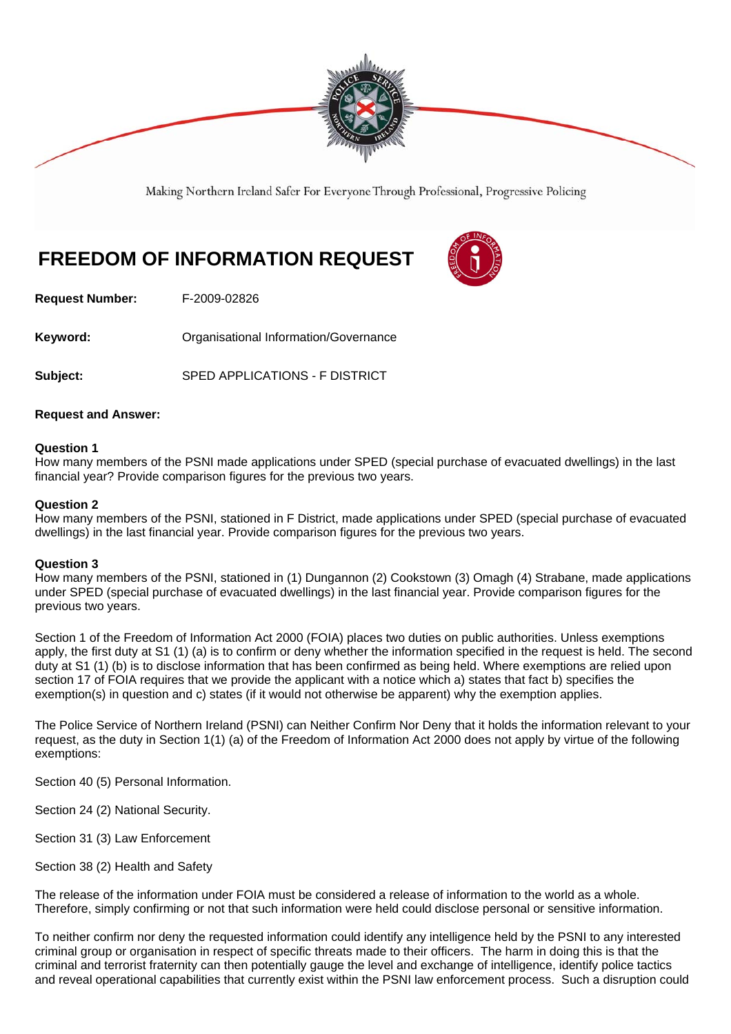

Making Northern Ireland Safer For Everyone Through Professional, Progressive Policing

# **FREEDOM OF INFORMATION REQUEST**



**Request Number:** F-2009-02826

**Keyword: Comparent Comparent Constrainers** Organisational Information/Governance

**Subject:** SPED APPLICATIONS - F DISTRICT

## **Request and Answer:**

## **Question 1**

How many members of the PSNI made applications under SPED (special purchase of evacuated dwellings) in the last financial year? Provide comparison figures for the previous two years.

## **Question 2**

How many members of the PSNI, stationed in F District, made applications under SPED (special purchase of evacuated dwellings) in the last financial year. Provide comparison figures for the previous two years.

### **Question 3**

How many members of the PSNI, stationed in (1) Dungannon (2) Cookstown (3) Omagh (4) Strabane, made applications under SPED (special purchase of evacuated dwellings) in the last financial year. Provide comparison figures for the previous two years.

Section 1 of the Freedom of Information Act 2000 (FOIA) places two duties on public authorities. Unless exemptions apply, the first duty at S1 (1) (a) is to confirm or deny whether the information specified in the request is held. The second duty at S1 (1) (b) is to disclose information that has been confirmed as being held. Where exemptions are relied upon section 17 of FOIA requires that we provide the applicant with a notice which a) states that fact b) specifies the exemption(s) in question and c) states (if it would not otherwise be apparent) why the exemption applies.

The Police Service of Northern Ireland (PSNI) can Neither Confirm Nor Deny that it holds the information relevant to your request, as the duty in Section 1(1) (a) of the Freedom of Information Act 2000 does not apply by virtue of the following exemptions:

Section 40 (5) Personal Information.

Section 24 (2) National Security.

Section 31 (3) Law Enforcement

Section 38 (2) Health and Safety

The release of the information under FOIA must be considered a release of information to the world as a whole. Therefore, simply confirming or not that such information were held could disclose personal or sensitive information.

To neither confirm nor deny the requested information could identify any intelligence held by the PSNI to any interested criminal group or organisation in respect of specific threats made to their officers. The harm in doing this is that the criminal and terrorist fraternity can then potentially gauge the level and exchange of intelligence, identify police tactics and reveal operational capabilities that currently exist within the PSNI law enforcement process. Such a disruption could